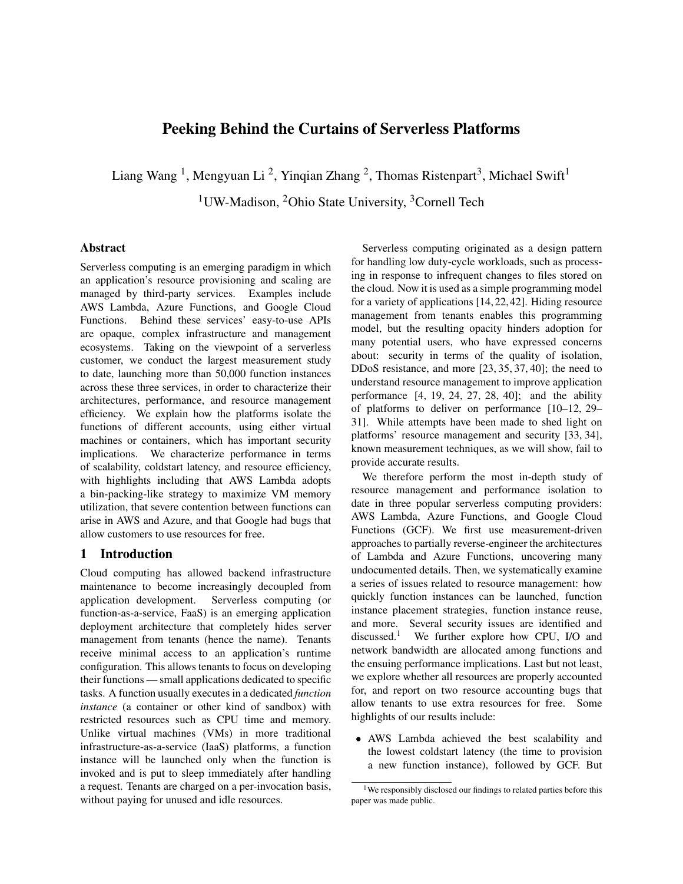# Peeking Behind the Curtains of Serverless Platforms

Liang Wang<sup>1</sup>, Mengyuan Li<sup>2</sup>, Yinqian Zhang<sup>2</sup>, Thomas Ristenpart<sup>3</sup>, Michael Swift<sup>1</sup>

<sup>1</sup>UW-Madison, <sup>2</sup>Ohio State University, <sup>3</sup>Cornell Tech

### **Abstract**

Serverless computing is an emerging paradigm in which an application's resource provisioning and scaling are managed by third-party services. Examples include AWS Lambda, Azure Functions, and Google Cloud Functions. Behind these services' easy-to-use APIs are opaque, complex infrastructure and management ecosystems. Taking on the viewpoint of a serverless customer, we conduct the largest measurement study to date, launching more than 50,000 function instances across these three services, in order to characterize their architectures, performance, and resource management efficiency. We explain how the platforms isolate the functions of different accounts, using either virtual machines or containers, which has important security implications. We characterize performance in terms of scalability, coldstart latency, and resource efficiency, with highlights including that AWS Lambda adopts a bin-packing-like strategy to maximize VM memory utilization, that severe contention between functions can arise in AWS and Azure, and that Google had bugs that allow customers to use resources for free.

# 1 Introduction

Cloud computing has allowed backend infrastructure maintenance to become increasingly decoupled from application development. Serverless computing (or function-as-a-service, FaaS) is an emerging application deployment architecture that completely hides server management from tenants (hence the name). Tenants receive minimal access to an application's runtime configuration. This allows tenants to focus on developing their functions — small applications dedicated to specific tasks. A function usually executes in a dedicated *function instance* (a container or other kind of sandbox) with restricted resources such as CPU time and memory. Unlike virtual machines (VMs) in more traditional infrastructure-as-a-service (IaaS) platforms, a function instance will be launched only when the function is invoked and is put to sleep immediately after handling a request. Tenants are charged on a per-invocation basis, without paying for unused and idle resources.

Serverless computing originated as a design pattern for handling low duty-cycle workloads, such as processing in response to infrequent changes to files stored on the cloud. Now it is used as a simple programming model for a variety of applications [\[14,](#page-11-0) [22,](#page-11-1) [42\]](#page-12-0). Hiding resource management from tenants enables this programming model, but the resulting opacity hinders adoption for many potential users, who have expressed concerns about: security in terms of the quality of isolation, DDoS resistance, and more [\[23,](#page-11-2) [35,](#page-11-3) [37,](#page-12-1) [40\]](#page-12-2); the need to understand resource management to improve application performance [\[4,](#page-11-4) [19,](#page-11-5) [24,](#page-11-6) [27,](#page-11-7) [28,](#page-11-8) [40\]](#page-12-2); and the ability of platforms to deliver on performance [\[10](#page-11-9)[–12,](#page-11-10) [29–](#page-11-11) [31\]](#page-11-12). While attempts have been made to shed light on platforms' resource management and security [\[33,](#page-11-13) [34\]](#page-11-14), known measurement techniques, as we will show, fail to provide accurate results.

We therefore perform the most in-depth study of resource management and performance isolation to date in three popular serverless computing providers: AWS Lambda, Azure Functions, and Google Cloud Functions (GCF). We first use measurement-driven approaches to partially reverse-engineer the architectures of Lambda and Azure Functions, uncovering many undocumented details. Then, we systematically examine a series of issues related to resource management: how quickly function instances can be launched, function instance placement strategies, function instance reuse, and more. Several security issues are identified and discussed.[1](#page-0-0) We further explore how CPU, I/O and network bandwidth are allocated among functions and the ensuing performance implications. Last but not least, we explore whether all resources are properly accounted for, and report on two resource accounting bugs that allow tenants to use extra resources for free. Some highlights of our results include:

• AWS Lambda achieved the best scalability and the lowest coldstart latency (the time to provision a new function instance), followed by GCF. But

<span id="page-0-0"></span><sup>&</sup>lt;sup>1</sup>We responsibly disclosed our findings to related parties before this paper was made public.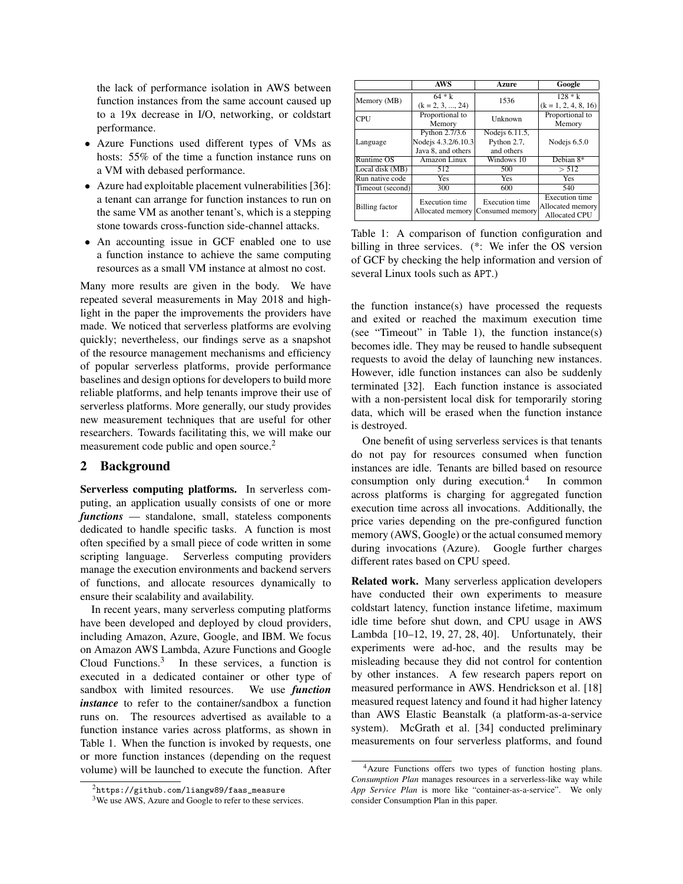the lack of performance isolation in AWS between function instances from the same account caused up to a 19x decrease in I/O, networking, or coldstart performance.

- Azure Functions used different types of VMs as hosts: 55% of the time a function instance runs on a VM with debased performance.
- Azure had exploitable placement vulnerabilities [\[36\]](#page-11-15): a tenant can arrange for function instances to run on the same VM as another tenant's, which is a stepping stone towards cross-function side-channel attacks.
- An accounting issue in GCF enabled one to use a function instance to achieve the same computing resources as a small VM instance at almost no cost.

Many more results are given in the body. We have repeated several measurements in May 2018 and highlight in the paper the improvements the providers have made. We noticed that serverless platforms are evolving quickly; nevertheless, our findings serve as a snapshot of the resource management mechanisms and efficiency of popular serverless platforms, provide performance baselines and design options for developers to build more reliable platforms, and help tenants improve their use of serverless platforms. More generally, our study provides new measurement techniques that are useful for other researchers. Towards facilitating this, we will make our measurement code public and open source.<sup>[2](#page-1-0)</sup>

### 2 Background

Serverless computing platforms. In serverless computing, an application usually consists of one or more *functions* — standalone, small, stateless components dedicated to handle specific tasks. A function is most often specified by a small piece of code written in some scripting language. Serverless computing providers manage the execution environments and backend servers of functions, and allocate resources dynamically to ensure their scalability and availability.

In recent years, many serverless computing platforms have been developed and deployed by cloud providers, including Amazon, Azure, Google, and IBM. We focus on Amazon AWS Lambda, Azure Functions and Google Cloud Functions.[3](#page-1-1) In these services, a function is executed in a dedicated container or other type of sandbox with limited resources. We use *function instance* to refer to the container/sandbox a function runs on. The resources advertised as available to a function instance varies across platforms, as shown in Table [1.](#page-1-2) When the function is invoked by requests, one or more function instances (depending on the request volume) will be launched to execute the function. After

<span id="page-1-2"></span>

|                       | <b>AWS</b>                                                  | Azure                                       | Google                                                            |
|-----------------------|-------------------------------------------------------------|---------------------------------------------|-------------------------------------------------------------------|
| Memory (MB)           | $64 * k$<br>$(k = 2, 3, , 24)$                              | 1536                                        | $128 * k$<br>$(k = 1, 2, 4, 8, 16)$                               |
| CPU                   | Proportional to<br>Memory                                   | Unknown                                     | Proportional to<br>Memory                                         |
| Language              | Python 2.7/3.6<br>Nodejs 4.3.2/6.10.3<br>Java 8, and others | Nodejs 6.11.5,<br>Python 2.7,<br>and others | Node is $6.5.0$                                                   |
| Runtime OS            | Amazon Linux                                                | Windows 10                                  | Debian 8*                                                         |
| Local disk (MB)       | 512                                                         | 500                                         | > 512                                                             |
| Run native code       | Yes                                                         | Yes                                         | Yes                                                               |
| Timeout (second)      | 300                                                         | 600                                         | 540                                                               |
| <b>Billing</b> factor | Execution time<br>Allocated memory                          | Execution time<br>Consumed memory           | <b>Execution</b> time<br>Allocated memory<br><b>Allocated CPU</b> |

Table 1: A comparison of function configuration and billing in three services. (\*: We infer the OS version of GCF by checking the help information and version of several Linux tools such as APT.)

the function instance(s) have processed the requests and exited or reached the maximum execution time (see "Timeout" in Table [1\)](#page-1-2), the function instance(s) becomes idle. They may be reused to handle subsequent requests to avoid the delay of launching new instances. However, idle function instances can also be suddenly terminated [\[32\]](#page-11-16). Each function instance is associated with a non-persistent local disk for temporarily storing data, which will be erased when the function instance is destroyed.

One benefit of using serverless services is that tenants do not pay for resources consumed when function instances are idle. Tenants are billed based on resource consumption only during execution.[4](#page-1-3) In common across platforms is charging for aggregated function execution time across all invocations. Additionally, the price varies depending on the pre-configured function memory (AWS, Google) or the actual consumed memory during invocations (Azure). Google further charges different rates based on CPU speed.

Related work. Many serverless application developers have conducted their own experiments to measure coldstart latency, function instance lifetime, maximum idle time before shut down, and CPU usage in AWS Lambda [\[10–](#page-11-9)[12,](#page-11-10) [19,](#page-11-5) [27,](#page-11-7) [28,](#page-11-8) [40\]](#page-12-2). Unfortunately, their experiments were ad-hoc, and the results may be misleading because they did not control for contention by other instances. A few research papers report on measured performance in AWS. Hendrickson et al. [\[18\]](#page-11-17) measured request latency and found it had higher latency than AWS Elastic Beanstalk (a platform-as-a-service system). McGrath et al. [\[34\]](#page-11-14) conducted preliminary measurements on four serverless platforms, and found

<span id="page-1-0"></span> $^{2}$ [https://github.com/liangw89/faas\\_measure](https://github.com/liangw89/faas_measure)

<span id="page-1-1"></span><sup>&</sup>lt;sup>3</sup>We use AWS, Azure and Google to refer to these services.

<span id="page-1-3"></span><sup>4</sup>Azure Functions offers two types of function hosting plans. *Consumption Plan* manages resources in a serverless-like way while *App Service Plan* is more like "container-as-a-service". We only consider Consumption Plan in this paper.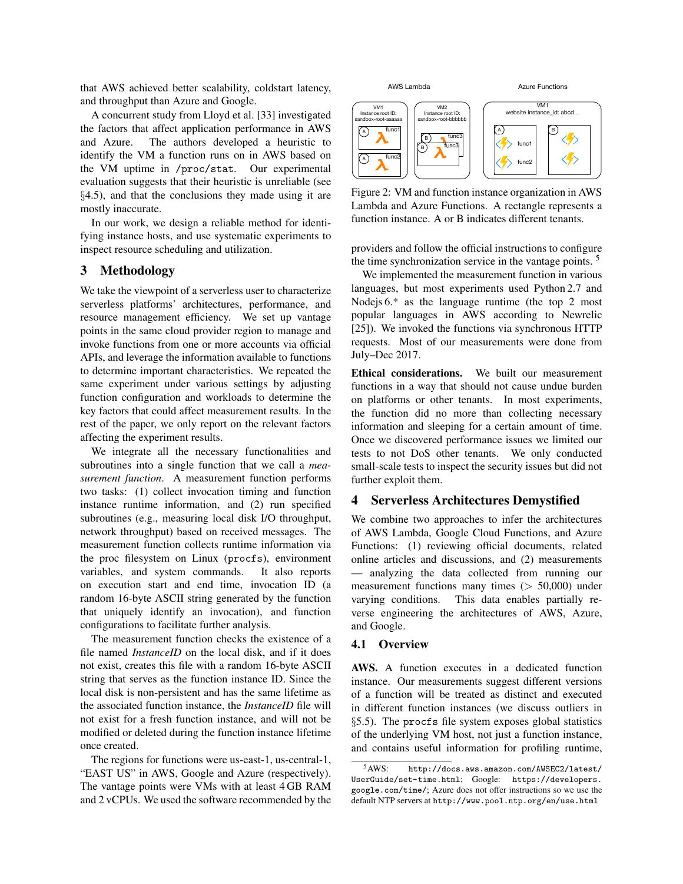that AWS achieved better scalability, coldstart latency, and throughput than Azure and Google.

A concurrent study from Lloyd et al. [\[33\]](#page-11-13) investigated the factors that affect application performance in AWS and Azure. The authors developed a heuristic to identify the VM a function runs on in AWS based on the VM uptime in /proc/stat. Our experimental evaluation suggests that their heuristic is unreliable (see §[4.5\)](#page-4-0), and that the conclusions they made using it are mostly inaccurate.

In our work, we design a reliable method for identifying instance hosts, and use systematic experiments to inspect resource scheduling and utilization.

## 3 Methodology

We take the viewpoint of a serverless user to characterize serverless platforms' architectures, performance, and resource management efficiency. We set up vantage points in the same cloud provider region to manage and invoke functions from one or more accounts via official APIs, and leverage the information available to functions to determine important characteristics. We repeated the same experiment under various settings by adjusting function configuration and workloads to determine the key factors that could affect measurement results. In the rest of the paper, we only report on the relevant factors affecting the experiment results.

We integrate all the necessary functionalities and subroutines into a single function that we call a *measurement function*. A measurement function performs two tasks: (1) collect invocation timing and function instance runtime information, and (2) run specified subroutines (e.g., measuring local disk I/O throughput, network throughput) based on received messages. The measurement function collects runtime information via the proc filesystem on Linux (procfs), environment variables, and system commands. It also reports on execution start and end time, invocation ID (a random 16-byte ASCII string generated by the function that uniquely identify an invocation), and function configurations to facilitate further analysis.

The measurement function checks the existence of a file named *InstanceID* on the local disk, and if it does not exist, creates this file with a random 16-byte ASCII string that serves as the function instance ID. Since the local disk is non-persistent and has the same lifetime as the associated function instance, the *InstanceID* file will not exist for a fresh function instance, and will not be modified or deleted during the function instance lifetime once created.

The regions for functions were us-east-1, us-central-1, "EAST US" in AWS, Google and Azure (respectively). The vantage points were VMs with at least 4 GB RAM and 2 vCPUs. We used the software recommended by the



Figure 2: VM and function instance organization in AWS Lambda and Azure Functions. A rectangle represents a function instance. A or B indicates different tenants.

providers and follow the official instructions to configure the time synchronization service in the vantage points.<sup>3</sup>

We implemented the measurement function in various languages, but most experiments used Python 2.7 and Nodejs 6.\* as the language runtime (the top 2 most popular languages in AWS according to Newrelic [\[25\]](#page-11-18)). We invoked the functions via synchronous HTTP requests. Most of our measurements were done from July–Dec 2017.

Ethical considerations. We built our measurement functions in a way that should not cause undue burden on platforms or other tenants. In most experiments, the function did no more than collecting necessary information and sleeping for a certain amount of time. Once we discovered performance issues we limited our tests to not DoS other tenants. We only conducted small-scale tests to inspect the security issues but did not further exploit them.

# 4 Serverless Architectures Demystified

We combine two approaches to infer the architectures of AWS Lambda, Google Cloud Functions, and Azure Functions: (1) reviewing official documents, related online articles and discussions, and (2) measurements — analyzing the data collected from running our measurement functions many times  $(> 50,000)$  under varying conditions. This data enables partially reverse engineering the architectures of AWS, Azure, and Google.

### 4.1 Overview

AWS. A function executes in a dedicated function instance. Our measurements suggest different versions of a function will be treated as distinct and executed in different function instances (we discuss outliers in §[5.5\)](#page-7-0). The procfs file system exposes global statistics of the underlying VM host, not just a function instance, and contains useful information for profiling runtime,

<span id="page-2-0"></span><sup>5</sup>AWS: [http://docs.aws.amazon.com/AWSEC2/latest/](http://docs.aws.amazon.com/AWSEC2/latest/UserGuide/set-time.html) [UserGuide/set-time.html](http://docs.aws.amazon.com/AWSEC2/latest/UserGuide/set-time.html); Google: [https://developers.](https://developers.google.com/time/) [google.com/time/](https://developers.google.com/time/); Azure does not offer instructions so we use the default NTP servers at <http://www.pool.ntp.org/en/use.html>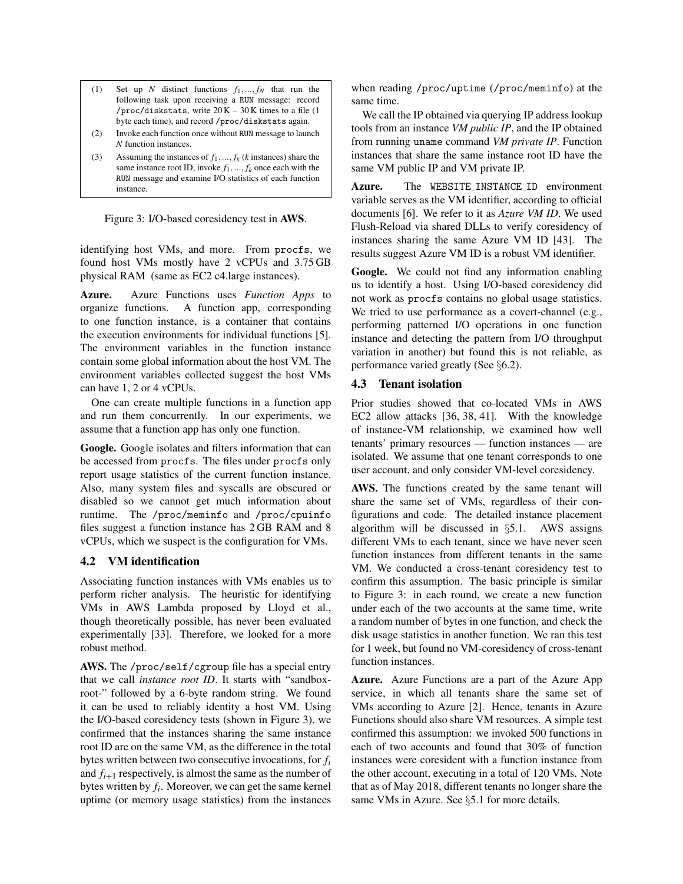- <span id="page-3-0"></span>(1) Set up *N* distinct functions  $f_1, ..., f_N$  that run the following task upon receiving a RUN message: record /proc/diskstats, write  $20K - 30K$  times to a file (1) byte each time), and record /proc/diskstats again.
- (2) Invoke each function once without RUN message to launch *N* function instances.
- (3) Assuming the instances of  $f_1, ..., f_k$  (*k* instances) share the same instance root ID, invoke  $f_1, ..., f_k$  once each with the RUN message and examine I/O statistics of each function instance.

Figure 3: I/O-based coresidency test in AWS.

identifying host VMs, and more. From procfs, we found host VMs mostly have 2 vCPUs and 3.75 GB physical RAM (same as EC2 c4.large instances).

Azure. Azure Functions uses *Function Apps* to organize functions. A function app, corresponding to one function instance, is a container that contains the execution environments for individual functions [\[5\]](#page-11-19). The environment variables in the function instance contain some global information about the host VM. The environment variables collected suggest the host VMs can have 1, 2 or 4 vCPUs.

One can create multiple functions in a function app and run them concurrently. In our experiments, we assume that a function app has only one function.

Google. Google isolates and filters information that can be accessed from procfs. The files under procfs only report usage statistics of the current function instance. Also, many system files and syscalls are obscured or disabled so we cannot get much information about runtime. The /proc/meminfo and /proc/cpuinfo files suggest a function instance has 2 GB RAM and 8 vCPUs, which we suspect is the configuration for VMs.

## 4.2 VM identification

Associating function instances with VMs enables us to perform richer analysis. The heuristic for identifying VMs in AWS Lambda proposed by Lloyd et al., though theoretically possible, has never been evaluated experimentally [\[33\]](#page-11-13). Therefore, we looked for a more robust method.

AWS. The /proc/self/cgroup file has a special entry that we call *instance root ID*. It starts with "sandboxroot-" followed by a 6-byte random string. We found it can be used to reliably identity a host VM. Using the I/O-based coresidency tests (shown in Figure [3\)](#page-3-0), we confirmed that the instances sharing the same instance root ID are on the same VM, as the difference in the total bytes written between two consecutive invocations, for *f<sup>i</sup>* and  $f_{i+1}$  respectively, is almost the same as the number of bytes written by *f<sup>i</sup>* . Moreover, we can get the same kernel uptime (or memory usage statistics) from the instances when reading /proc/uptime (/proc/meminfo) at the same time.

We call the IP obtained via querying IP address lookup tools from an instance *VM public IP*, and the IP obtained from running uname command *VM private IP*. Function instances that share the same instance root ID have the same VM public IP and VM private IP.

Azure. The WEBSITE\_INSTANCE\_ID environment variable serves as the VM identifier, according to official documents [\[6\]](#page-11-20). We refer to it as *Azure VM ID*. We used Flush-Reload via shared DLLs to verify coresidency of instances sharing the same Azure VM ID [\[43\]](#page-12-3). The results suggest Azure VM ID is a robust VM identifier.

Google. We could not find any information enabling us to identify a host. Using I/O-based coresidency did not work as procfs contains no global usage statistics. We tried to use performance as a covert-channel (e.g., performing patterned I/O operations in one function instance and detecting the pattern from I/O throughput variation in another) but found this is not reliable, as performance varied greatly (See §[6.2\)](#page-9-0).

# 4.3 Tenant isolation

Prior studies showed that co-located VMs in AWS EC2 allow attacks [\[36,](#page-11-15) [38,](#page-12-4) [41\]](#page-12-5). With the knowledge of instance-VM relationship, we examined how well tenants' primary resources — function instances — are isolated. We assume that one tenant corresponds to one user account, and only consider VM-level coresidency.

AWS. The functions created by the same tenant will share the same set of VMs, regardless of their configurations and code. The detailed instance placement algorithm will be discussed in §[5.1.](#page-4-1) AWS assigns different VMs to each tenant, since we have never seen function instances from different tenants in the same VM. We conducted a cross-tenant coresidency test to confirm this assumption. The basic principle is similar to Figure [3:](#page-3-0) in each round, we create a new function under each of the two accounts at the same time, write a random number of bytes in one function, and check the disk usage statistics in another function. We ran this test for 1 week, but found no VM-coresidency of cross-tenant function instances.

Azure. Azure Functions are a part of the Azure App service, in which all tenants share the same set of VMs according to Azure [\[2\]](#page-11-21). Hence, tenants in Azure Functions should also share VM resources. A simple test confirmed this assumption: we invoked 500 functions in each of two accounts and found that 30% of function instances were coresident with a function instance from the other account, executing in a total of 120 VMs. Note that as of May 2018, different tenants no longer share the same VMs in Azure. See §[5.1](#page-4-1) for more details.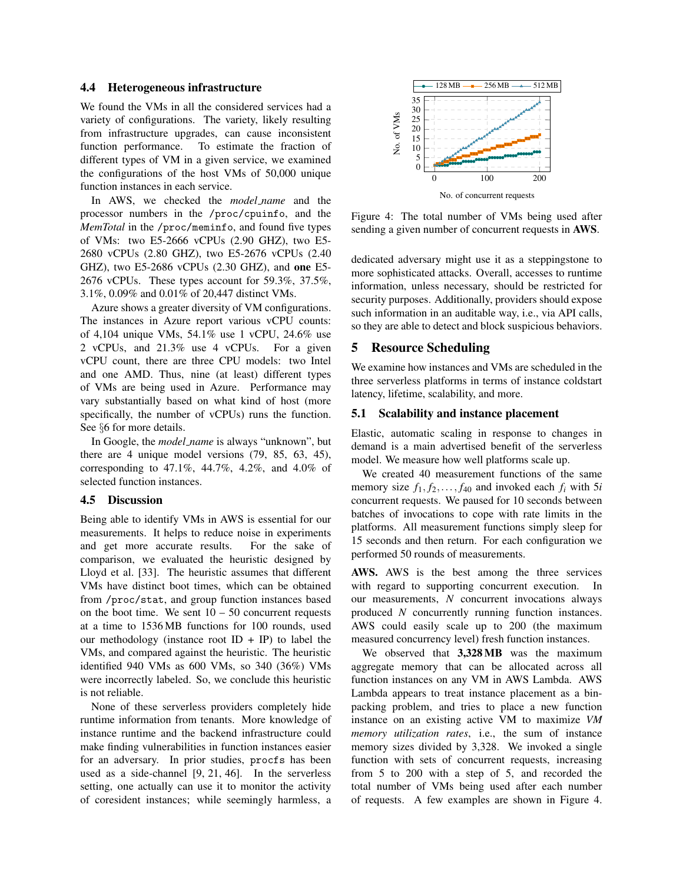#### 4.4 Heterogeneous infrastructure

We found the VMs in all the considered services had a variety of configurations. The variety, likely resulting from infrastructure upgrades, can cause inconsistent function performance. To estimate the fraction of different types of VM in a given service, we examined the configurations of the host VMs of 50,000 unique function instances in each service.

In AWS, we checked the *model name* and the processor numbers in the /proc/cpuinfo, and the *MemTotal* in the /proc/meminfo, and found five types of VMs: two E5-2666 vCPUs (2.90 GHZ), two E5- 2680 vCPUs (2.80 GHZ), two E5-2676 vCPUs (2.40 GHZ), two E5-2686 vCPUs (2.30 GHZ), and one E5- 2676 vCPUs. These types account for 59.3%, 37.5%, 3.1%, 0.09% and 0.01% of 20,447 distinct VMs.

Azure shows a greater diversity of VM configurations. The instances in Azure report various vCPU counts: of 4,104 unique VMs, 54.1% use 1 vCPU, 24.6% use 2 vCPUs, and 21.3% use 4 vCPUs. For a given vCPU count, there are three CPU models: two Intel and one AMD. Thus, nine (at least) different types of VMs are being used in Azure. Performance may vary substantially based on what kind of host (more specifically, the number of vCPUs) runs the function. See §[6](#page-8-0) for more details.

In Google, the *model name* is always "unknown", but there are 4 unique model versions (79, 85, 63, 45), corresponding to 47.1%, 44.7%, 4.2%, and 4.0% of selected function instances.

#### <span id="page-4-0"></span>4.5 Discussion

Being able to identify VMs in AWS is essential for our measurements. It helps to reduce noise in experiments and get more accurate results. For the sake of comparison, we evaluated the heuristic designed by Lloyd et al. [\[33\]](#page-11-13). The heuristic assumes that different VMs have distinct boot times, which can be obtained from /proc/stat, and group function instances based on the boot time. We sent  $10 - 50$  concurrent requests at a time to 1536 MB functions for 100 rounds, used our methodology (instance root  $ID + IP$ ) to label the VMs, and compared against the heuristic. The heuristic identified 940 VMs as 600 VMs, so 340 (36%) VMs were incorrectly labeled. So, we conclude this heuristic is not reliable.

None of these serverless providers completely hide runtime information from tenants. More knowledge of instance runtime and the backend infrastructure could make finding vulnerabilities in function instances easier for an adversary. In prior studies, procfs has been used as a side-channel [\[9,](#page-11-22) [21,](#page-11-23) [46\]](#page-12-6). In the serverless setting, one actually can use it to monitor the activity of coresident instances; while seemingly harmless, a

<span id="page-4-2"></span>

Figure 4: The total number of VMs being used after sending a given number of concurrent requests in AWS.

dedicated adversary might use it as a steppingstone to more sophisticated attacks. Overall, accesses to runtime information, unless necessary, should be restricted for security purposes. Additionally, providers should expose such information in an auditable way, i.e., via API calls, so they are able to detect and block suspicious behaviors.

#### 5 Resource Scheduling

We examine how instances and VMs are scheduled in the three serverless platforms in terms of instance coldstart latency, lifetime, scalability, and more.

#### <span id="page-4-1"></span>5.1 Scalability and instance placement

Elastic, automatic scaling in response to changes in demand is a main advertised benefit of the serverless model. We measure how well platforms scale up.

We created 40 measurement functions of the same memory size  $f_1, f_2, \ldots, f_{40}$  and invoked each  $f_i$  with 5*i* concurrent requests. We paused for 10 seconds between batches of invocations to cope with rate limits in the platforms. All measurement functions simply sleep for 15 seconds and then return. For each configuration we performed 50 rounds of measurements.

AWS. AWS is the best among the three services with regard to supporting concurrent execution. In our measurements, *N* concurrent invocations always produced *N* concurrently running function instances. AWS could easily scale up to 200 (the maximum measured concurrency level) fresh function instances.

We observed that **3,328 MB** was the maximum aggregate memory that can be allocated across all function instances on any VM in AWS Lambda. AWS Lambda appears to treat instance placement as a binpacking problem, and tries to place a new function instance on an existing active VM to maximize *VM memory utilization rates*, i.e., the sum of instance memory sizes divided by 3,328. We invoked a single function with sets of concurrent requests, increasing from 5 to 200 with a step of 5, and recorded the total number of VMs being used after each number of requests. A few examples are shown in Figure [4.](#page-4-2)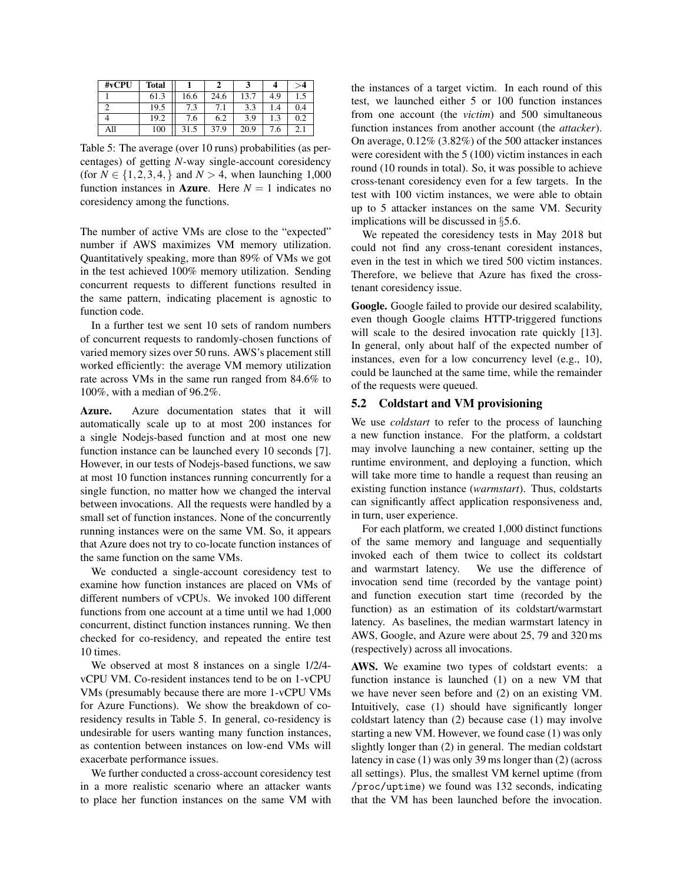<span id="page-5-0"></span>

| #vCPU | <b>Total</b> |      |      |      |     |     |
|-------|--------------|------|------|------|-----|-----|
|       | 61.3         | 16.6 | 24.6 | 13.7 | 4.9 |     |
|       | 19.5         | 7.3  |      | 3.3  | 1.4 | 0.4 |
|       | 19.2         | 7.6  | 6.2  | 3.9  | 1.3 | 0.2 |
| All   | 100          | 31.5 | 37.9 | 20.9 | 7.6 |     |

Table 5: The average (over 10 runs) probabilities (as percentages) of getting *N*-way single-account coresidency (for  $N \in \{1, 2, 3, 4\}$  and  $N > 4$ , when launching 1,000 function instances in **Azure**. Here  $N = 1$  indicates no coresidency among the functions.

The number of active VMs are close to the "expected" number if AWS maximizes VM memory utilization. Quantitatively speaking, more than 89% of VMs we got in the test achieved 100% memory utilization. Sending concurrent requests to different functions resulted in the same pattern, indicating placement is agnostic to function code.

In a further test we sent 10 sets of random numbers of concurrent requests to randomly-chosen functions of varied memory sizes over 50 runs. AWS's placement still worked efficiently: the average VM memory utilization rate across VMs in the same run ranged from 84.6% to 100%, with a median of 96.2%.

Azure. Azure documentation states that it will automatically scale up to at most 200 instances for a single Nodejs-based function and at most one new function instance can be launched every 10 seconds [\[7\]](#page-11-24). However, in our tests of Nodejs-based functions, we saw at most 10 function instances running concurrently for a single function, no matter how we changed the interval between invocations. All the requests were handled by a small set of function instances. None of the concurrently running instances were on the same VM. So, it appears that Azure does not try to co-locate function instances of the same function on the same VMs.

We conducted a single-account coresidency test to examine how function instances are placed on VMs of different numbers of vCPUs. We invoked 100 different functions from one account at a time until we had 1,000 concurrent, distinct function instances running. We then checked for co-residency, and repeated the entire test 10 times.

We observed at most 8 instances on a single 1/2/4 vCPU VM. Co-resident instances tend to be on 1-vCPU VMs (presumably because there are more 1-vCPU VMs for Azure Functions). We show the breakdown of coresidency results in Table [5.](#page-5-0) In general, co-residency is undesirable for users wanting many function instances, as contention between instances on low-end VMs will exacerbate performance issues.

We further conducted a cross-account coresidency test in a more realistic scenario where an attacker wants to place her function instances on the same VM with the instances of a target victim. In each round of this test, we launched either 5 or 100 function instances from one account (the *victim*) and 500 simultaneous function instances from another account (the *attacker*). On average, 0.12% (3.82%) of the 500 attacker instances were coresident with the 5 (100) victim instances in each round (10 rounds in total). So, it was possible to achieve cross-tenant coresidency even for a few targets. In the test with 100 victim instances, we were able to obtain up to 5 attacker instances on the same VM. Security implications will be discussed in §[5.6.](#page-8-1)

We repeated the coresidency tests in May 2018 but could not find any cross-tenant coresident instances, even in the test in which we tired 500 victim instances. Therefore, we believe that Azure has fixed the crosstenant coresidency issue.

Google. Google failed to provide our desired scalability, even though Google claims HTTP-triggered functions will scale to the desired invocation rate quickly [\[13\]](#page-11-25). In general, only about half of the expected number of instances, even for a low concurrency level (e.g., 10), could be launched at the same time, while the remainder of the requests were queued.

### 5.2 Coldstart and VM provisioning

We use *coldstart* to refer to the process of launching a new function instance. For the platform, a coldstart may involve launching a new container, setting up the runtime environment, and deploying a function, which will take more time to handle a request than reusing an existing function instance (*warmstart*). Thus, coldstarts can significantly affect application responsiveness and, in turn, user experience.

For each platform, we created 1,000 distinct functions of the same memory and language and sequentially invoked each of them twice to collect its coldstart and warmstart latency. We use the difference of invocation send time (recorded by the vantage point) and function execution start time (recorded by the function) as an estimation of its coldstart/warmstart latency. As baselines, the median warmstart latency in AWS, Google, and Azure were about 25, 79 and 320 ms (respectively) across all invocations.

AWS. We examine two types of coldstart events: a function instance is launched (1) on a new VM that we have never seen before and (2) on an existing VM. Intuitively, case (1) should have significantly longer coldstart latency than (2) because case (1) may involve starting a new VM. However, we found case (1) was only slightly longer than (2) in general. The median coldstart latency in case (1) was only 39 ms longer than (2) (across all settings). Plus, the smallest VM kernel uptime (from /proc/uptime) we found was 132 seconds, indicating that the VM has been launched before the invocation.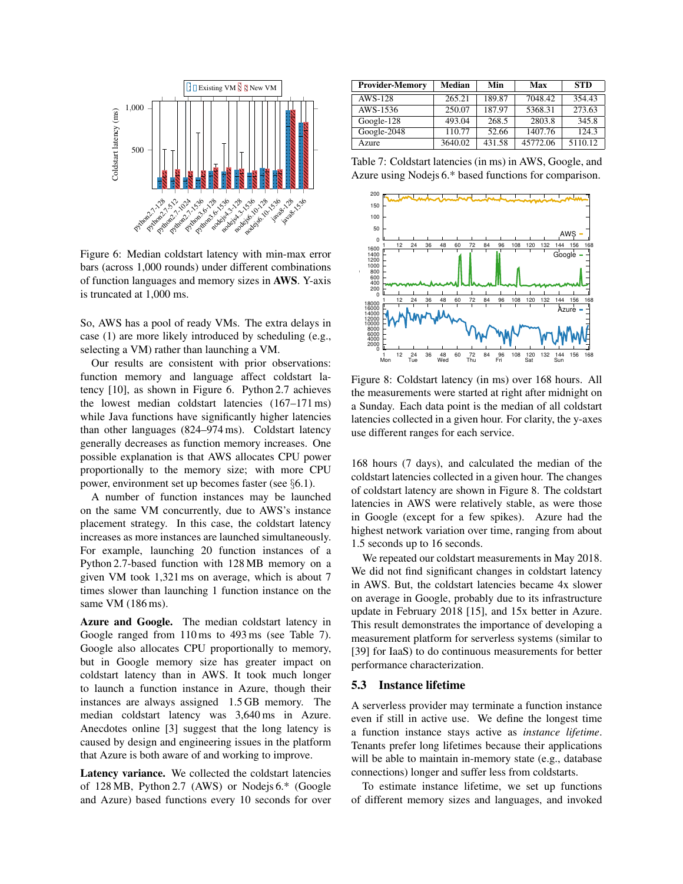<span id="page-6-0"></span>

Figure 6: Median coldstart latency with min-max error bars (across 1,000 rounds) under different combinations of function languages and memory sizes in AWS. Y-axis is truncated at 1,000 ms.

So, AWS has a pool of ready VMs. The extra delays in case (1) are more likely introduced by scheduling (e.g., selecting a VM) rather than launching a VM.

Our results are consistent with prior observations: function memory and language affect coldstart latency [\[10\]](#page-11-9), as shown in Figure [6.](#page-6-0) Python 2.7 achieves the lowest median coldstart latencies (167–171 ms) while Java functions have significantly higher latencies than other languages (824–974 ms). Coldstart latency generally decreases as function memory increases. One possible explanation is that AWS allocates CPU power proportionally to the memory size; with more CPU power, environment set up becomes faster (see §[6.1\)](#page-8-2).

A number of function instances may be launched on the same VM concurrently, due to AWS's instance placement strategy. In this case, the coldstart latency increases as more instances are launched simultaneously. For example, launching 20 function instances of a Python 2.7-based function with 128 MB memory on a given VM took 1,321 ms on average, which is about 7 times slower than launching 1 function instance on the same VM (186 ms).

Azure and Google. The median coldstart latency in Google ranged from 110 ms to 493 ms (see Table [7\)](#page-6-1). Google also allocates CPU proportionally to memory, but in Google memory size has greater impact on coldstart latency than in AWS. It took much longer to launch a function instance in Azure, though their instances are always assigned 1.5 GB memory. The median coldstart latency was 3,640 ms in Azure. Anecdotes online [\[3\]](#page-11-26) suggest that the long latency is caused by design and engineering issues in the platform that Azure is both aware of and working to improve.

Latency variance. We collected the coldstart latencies of 128 MB, Python 2.7 (AWS) or Nodejs 6.\* (Google and Azure) based functions every 10 seconds for over

<span id="page-6-1"></span>

| <b>Provider-Memory</b> | <b>Median</b> | Min    | Max      | <b>STD</b> |
|------------------------|---------------|--------|----------|------------|
| AWS-128                | 265.21        | 189.87 | 7048.42  | 354.43     |
| AWS-1536               | 250.07        | 187.97 | 5368.31  | 273.63     |
| Google-128             | 493.04        | 268.5  | 2803.8   | 345.8      |
| Google-2048            | 110.77        | 52.66  | 1407.76  | 124.3      |
| Azure                  | 3640.02       | 431.58 | 45772.06 | 5110.12    |

Table 7: Coldstart latencies (in ms) in AWS, Google, and Azure using Nodejs 6.\* based functions for comparison.

<span id="page-6-2"></span>

Figure 8: Coldstart latency (in ms) over 168 hours. All the measurements were started at right after midnight on a Sunday. Each data point is the median of all coldstart latencies collected in a given hour. For clarity, the y-axes use different ranges for each service.

168 hours (7 days), and calculated the median of the coldstart latencies collected in a given hour. The changes of coldstart latency are shown in Figure [8.](#page-6-2) The coldstart latencies in AWS were relatively stable, as were those in Google (except for a few spikes). Azure had the highest network variation over time, ranging from about 1.5 seconds up to 16 seconds.

We repeated our coldstart measurements in May 2018. We did not find significant changes in coldstart latency in AWS. But, the coldstart latencies became 4x slower on average in Google, probably due to its infrastructure update in February 2018 [\[15\]](#page-11-27), and 15x better in Azure. This result demonstrates the importance of developing a measurement platform for serverless systems (similar to [\[39\]](#page-12-7) for IaaS) to do continuous measurements for better performance characterization.

#### 5.3 Instance lifetime

A serverless provider may terminate a function instance even if still in active use. We define the longest time a function instance stays active as *instance lifetime*. Tenants prefer long lifetimes because their applications will be able to maintain in-memory state (e.g., database connections) longer and suffer less from coldstarts.

To estimate instance lifetime, we set up functions of different memory sizes and languages, and invoked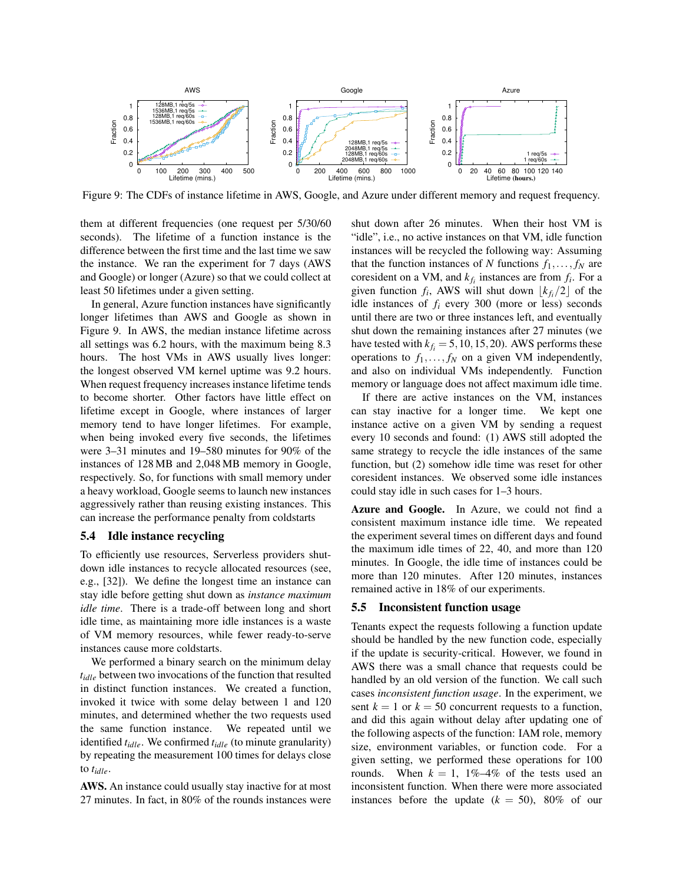<span id="page-7-1"></span>

Figure 9: The CDFs of instance lifetime in AWS, Google, and Azure under different memory and request frequency.

them at different frequencies (one request per 5/30/60 seconds). The lifetime of a function instance is the difference between the first time and the last time we saw the instance. We ran the experiment for 7 days (AWS and Google) or longer (Azure) so that we could collect at least 50 lifetimes under a given setting.

In general, Azure function instances have significantly longer lifetimes than AWS and Google as shown in Figure [9.](#page-7-1) In AWS, the median instance lifetime across all settings was 6.2 hours, with the maximum being 8.3 hours. The host VMs in AWS usually lives longer: the longest observed VM kernel uptime was 9.2 hours. When request frequency increases instance lifetime tends to become shorter. Other factors have little effect on lifetime except in Google, where instances of larger memory tend to have longer lifetimes. For example, when being invoked every five seconds, the lifetimes were 3–31 minutes and 19–580 minutes for 90% of the instances of 128 MB and 2,048 MB memory in Google, respectively. So, for functions with small memory under a heavy workload, Google seems to launch new instances aggressively rather than reusing existing instances. This can increase the performance penalty from coldstarts

#### 5.4 Idle instance recycling

To efficiently use resources, Serverless providers shutdown idle instances to recycle allocated resources (see, e.g., [\[32\]](#page-11-16)). We define the longest time an instance can stay idle before getting shut down as *instance maximum idle time*. There is a trade-off between long and short idle time, as maintaining more idle instances is a waste of VM memory resources, while fewer ready-to-serve instances cause more coldstarts.

We performed a binary search on the minimum delay *tidle* between two invocations of the function that resulted in distinct function instances. We created a function, invoked it twice with some delay between 1 and 120 minutes, and determined whether the two requests used the same function instance. We repeated until we identified *tidle*. We confirmed *tidle* (to minute granularity) by repeating the measurement 100 times for delays close to *tidle*.

AWS. An instance could usually stay inactive for at most 27 minutes. In fact, in 80% of the rounds instances were shut down after 26 minutes. When their host VM is "idle", i.e., no active instances on that VM, idle function instances will be recycled the following way: Assuming that the function instances of *N* functions  $f_1, \ldots, f_N$  are coresident on a VM, and  $k_{f_i}$  instances are from  $f_i$ . For a given function  $f_i$ , AWS will shut down  $\lfloor k_{f_i}/2 \rfloor$  of the idle instances of *f<sup>i</sup>* every 300 (more or less) seconds until there are two or three instances left, and eventually shut down the remaining instances after 27 minutes (we have tested with  $k_f$  = 5, 10, 15, 20). AWS performs these operations to  $f_1, \ldots, f_N$  on a given VM independently, and also on individual VMs independently. Function memory or language does not affect maximum idle time.

If there are active instances on the VM, instances can stay inactive for a longer time. We kept one instance active on a given VM by sending a request every 10 seconds and found: (1) AWS still adopted the same strategy to recycle the idle instances of the same function, but (2) somehow idle time was reset for other coresident instances. We observed some idle instances could stay idle in such cases for 1–3 hours.

Azure and Google. In Azure, we could not find a consistent maximum instance idle time. We repeated the experiment several times on different days and found the maximum idle times of 22, 40, and more than 120 minutes. In Google, the idle time of instances could be more than 120 minutes. After 120 minutes, instances remained active in 18% of our experiments.

#### <span id="page-7-0"></span>5.5 Inconsistent function usage

Tenants expect the requests following a function update should be handled by the new function code, especially if the update is security-critical. However, we found in AWS there was a small chance that requests could be handled by an old version of the function. We call such cases *inconsistent function usage*. In the experiment, we sent  $k = 1$  or  $k = 50$  concurrent requests to a function, and did this again without delay after updating one of the following aspects of the function: IAM role, memory size, environment variables, or function code. For a given setting, we performed these operations for 100 rounds. When  $k = 1$ , 1%–4% of the tests used an inconsistent function. When there were more associated instances before the update  $(k = 50)$ , 80% of our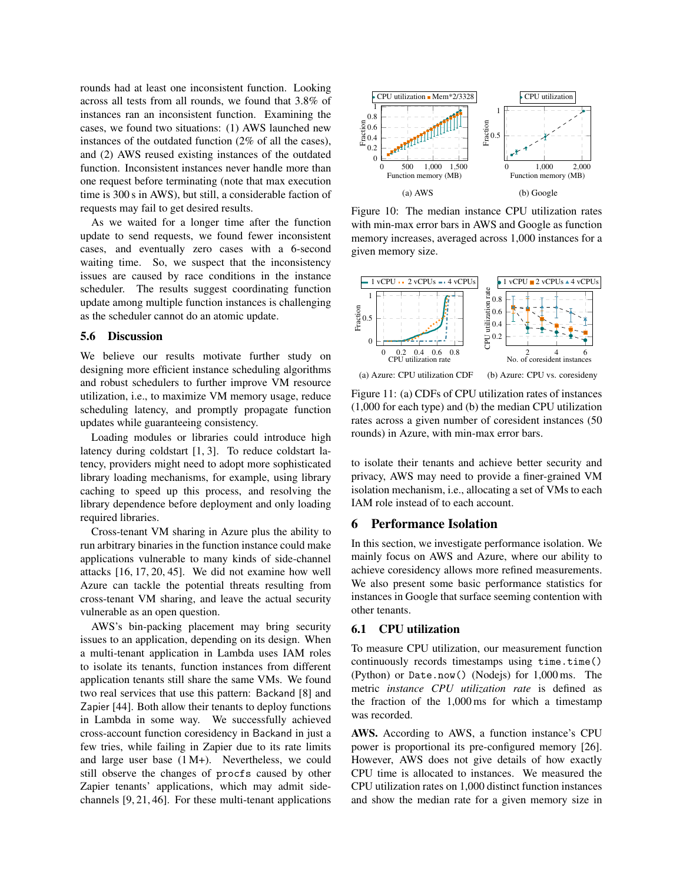rounds had at least one inconsistent function. Looking across all tests from all rounds, we found that 3.8% of instances ran an inconsistent function. Examining the cases, we found two situations: (1) AWS launched new instances of the outdated function (2% of all the cases), and (2) AWS reused existing instances of the outdated function. Inconsistent instances never handle more than one request before terminating (note that max execution time is 300 s in AWS), but still, a considerable faction of requests may fail to get desired results.

As we waited for a longer time after the function update to send requests, we found fewer inconsistent cases, and eventually zero cases with a 6-second waiting time. So, we suspect that the inconsistency issues are caused by race conditions in the instance scheduler. The results suggest coordinating function update among multiple function instances is challenging as the scheduler cannot do an atomic update.

#### <span id="page-8-1"></span>5.6 Discussion

We believe our results motivate further study on designing more efficient instance scheduling algorithms and robust schedulers to further improve VM resource utilization, i.e., to maximize VM memory usage, reduce scheduling latency, and promptly propagate function updates while guaranteeing consistency.

Loading modules or libraries could introduce high latency during coldstart [\[1,](#page-11-28) [3\]](#page-11-26). To reduce coldstart latency, providers might need to adopt more sophisticated library loading mechanisms, for example, using library caching to speed up this process, and resolving the library dependence before deployment and only loading required libraries.

Cross-tenant VM sharing in Azure plus the ability to run arbitrary binaries in the function instance could make applications vulnerable to many kinds of side-channel attacks [\[16,](#page-11-29) [17,](#page-11-30) [20,](#page-11-31) [45\]](#page-12-8). We did not examine how well Azure can tackle the potential threats resulting from cross-tenant VM sharing, and leave the actual security vulnerable as an open question.

AWS's bin-packing placement may bring security issues to an application, depending on its design. When a multi-tenant application in Lambda uses IAM roles to isolate its tenants, function instances from different application tenants still share the same VMs. We found two real services that use this pattern: Backand [\[8\]](#page-11-32) and Zapier [\[44\]](#page-12-9). Both allow their tenants to deploy functions in Lambda in some way. We successfully achieved cross-account function coresidency in Backand in just a few tries, while failing in Zapier due to its rate limits and large user base (1 M+). Nevertheless, we could still observe the changes of procfs caused by other Zapier tenants' applications, which may admit sidechannels [\[9,](#page-11-22) [21,](#page-11-23) [46\]](#page-12-6). For these multi-tenant applications

<span id="page-8-3"></span>

<span id="page-8-4"></span>Figure 10: The median instance CPU utilization rates with min-max error bars in AWS and Google as function memory increases, averaged across 1,000 instances for a given memory size.

<span id="page-8-5"></span>

<span id="page-8-6"></span>Figure 11: (a) CDFs of CPU utilization rates of instances (1,000 for each type) and (b) the median CPU utilization rates across a given number of coresident instances (50 rounds) in Azure, with min-max error bars.

to isolate their tenants and achieve better security and privacy, AWS may need to provide a finer-grained VM isolation mechanism, i.e., allocating a set of VMs to each IAM role instead of to each account.

### <span id="page-8-0"></span>6 Performance Isolation

In this section, we investigate performance isolation. We mainly focus on AWS and Azure, where our ability to achieve coresidency allows more refined measurements. We also present some basic performance statistics for instances in Google that surface seeming contention with other tenants.

### <span id="page-8-2"></span>6.1 CPU utilization

To measure CPU utilization, our measurement function continuously records timestamps using time.time() (Python) or Date.now() (Nodejs) for 1,000 ms. The metric *instance CPU utilization rate* is defined as the fraction of the 1,000 ms for which a timestamp was recorded.

AWS. According to AWS, a function instance's CPU power is proportional its pre-configured memory [\[26\]](#page-11-33). However, AWS does not give details of how exactly CPU time is allocated to instances. We measured the CPU utilization rates on 1,000 distinct function instances and show the median rate for a given memory size in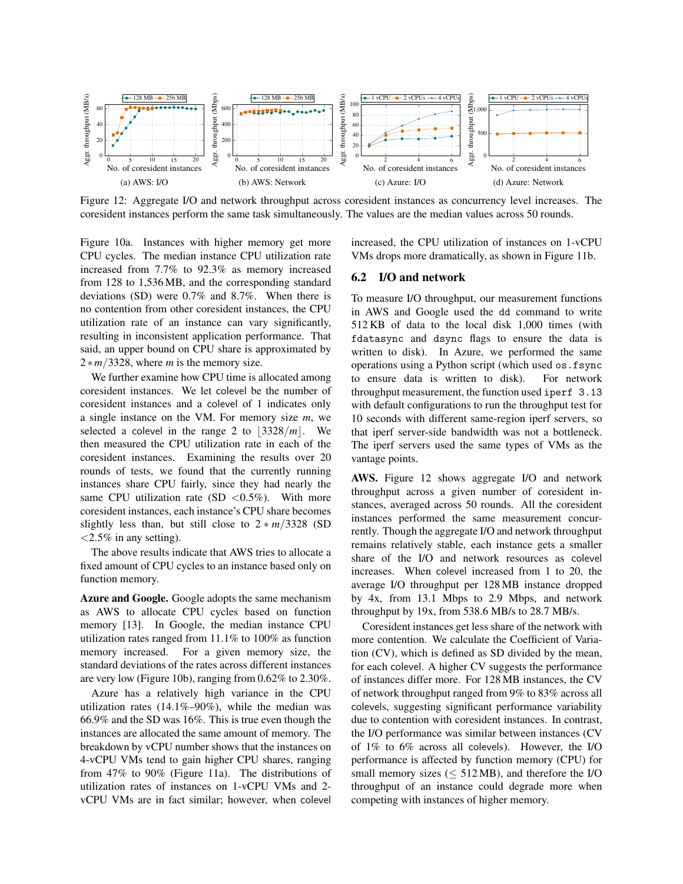<span id="page-9-1"></span>

Figure 12: Aggregate I/O and network throughput across coresident instances as concurrency level increases. The coresident instances perform the same task simultaneously. The values are the median values across 50 rounds.

Figure [10a.](#page-8-3) Instances with higher memory get more CPU cycles. The median instance CPU utilization rate increased from 7.7% to 92.3% as memory increased from 128 to 1,536 MB, and the corresponding standard deviations (SD) were 0.7% and 8.7%. When there is no contention from other coresident instances, the CPU utilization rate of an instance can vary significantly, resulting in inconsistent application performance. That said, an upper bound on CPU share is approximated by 2 ∗*m*/3328, where *m* is the memory size.

We further examine how CPU time is allocated among coresident instances. We let colevel be the number of coresident instances and a colevel of 1 indicates only a single instance on the VM. For memory size *m*, we selected a colevel in the range 2 to  $|3328/m|$ . We then measured the CPU utilization rate in each of the coresident instances. Examining the results over 20 rounds of tests, we found that the currently running instances share CPU fairly, since they had nearly the same CPU utilization rate  $(SD < 0.5\%)$ . With more coresident instances, each instance's CPU share becomes slightly less than, but still close to  $2 \times m/3328$  (SD  $<$  2.5% in any setting).

The above results indicate that AWS tries to allocate a fixed amount of CPU cycles to an instance based only on function memory.

Azure and Google. Google adopts the same mechanism as AWS to allocate CPU cycles based on function memory [\[13\]](#page-11-25). In Google, the median instance CPU utilization rates ranged from 11.1% to 100% as function memory increased. For a given memory size, the standard deviations of the rates across different instances are very low (Figure [10b\)](#page-8-4), ranging from 0.62% to 2.30%.

Azure has a relatively high variance in the CPU utilization rates  $(14.1\% - 90\%)$ , while the median was 66.9% and the SD was 16%. This is true even though the instances are allocated the same amount of memory. The breakdown by vCPU number shows that the instances on 4-vCPU VMs tend to gain higher CPU shares, ranging from 47% to 90% (Figure [11a\)](#page-8-5). The distributions of utilization rates of instances on 1-vCPU VMs and 2 vCPU VMs are in fact similar; however, when colevel increased, the CPU utilization of instances on 1-vCPU VMs drops more dramatically, as shown in Figure [11b.](#page-8-6)

### <span id="page-9-0"></span>6.2 I/O and network

To measure I/O throughput, our measurement functions in AWS and Google used the dd command to write 512 KB of data to the local disk 1,000 times (with fdatasync and dsync flags to ensure the data is written to disk). In Azure, we performed the same operations using a Python script (which used os.fsync to ensure data is written to disk). For network throughput measurement, the function used iperf 3.13 with default configurations to run the throughput test for 10 seconds with different same-region iperf servers, so that iperf server-side bandwidth was not a bottleneck. The iperf servers used the same types of VMs as the vantage points.

AWS. Figure [12](#page-9-1) shows aggregate I/O and network throughput across a given number of coresident instances, averaged across 50 rounds. All the coresident instances performed the same measurement concurrently. Though the aggregate I/O and network throughput remains relatively stable, each instance gets a smaller share of the I/O and network resources as colevel increases. When colevel increased from 1 to 20, the average I/O throughput per 128 MB instance dropped by 4x, from 13.1 Mbps to 2.9 Mbps, and network throughput by 19x, from 538.6 MB/s to 28.7 MB/s.

Coresident instances get less share of the network with more contention. We calculate the Coefficient of Variation (CV), which is defined as SD divided by the mean, for each colevel. A higher CV suggests the performance of instances differ more. For 128 MB instances, the CV of network throughput ranged from 9% to 83% across all colevels, suggesting significant performance variability due to contention with coresident instances. In contrast, the I/O performance was similar between instances (CV of 1% to 6% across all colevels). However, the I/O performance is affected by function memory (CPU) for small memory sizes ( $\leq$  512 MB), and therefore the I/O throughput of an instance could degrade more when competing with instances of higher memory.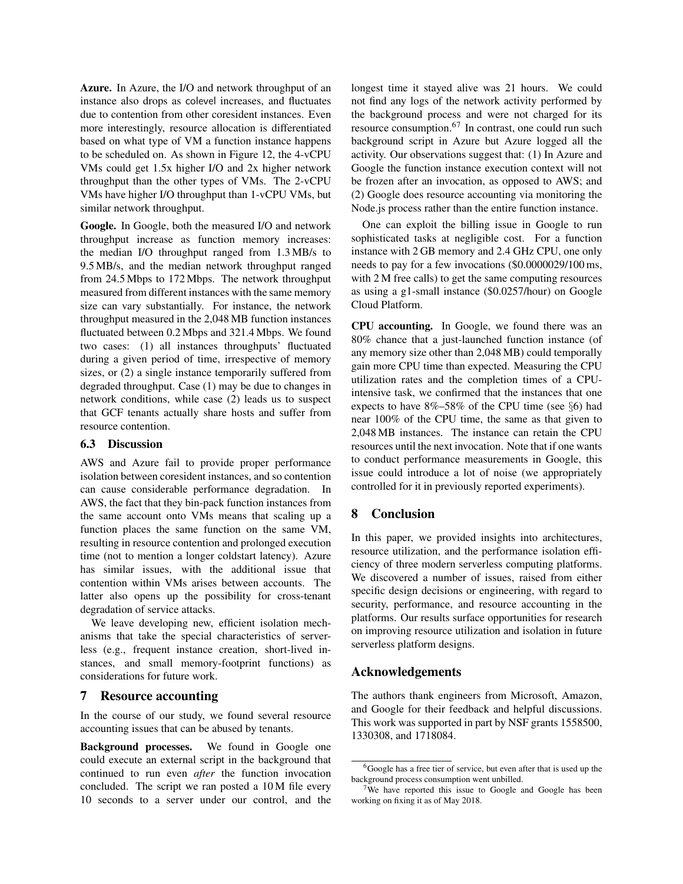Azure. In Azure, the I/O and network throughput of an instance also drops as colevel increases, and fluctuates due to contention from other coresident instances. Even more interestingly, resource allocation is differentiated based on what type of VM a function instance happens to be scheduled on. As shown in Figure [12,](#page-9-1) the 4-vCPU VMs could get 1.5x higher I/O and 2x higher network throughput than the other types of VMs. The 2-vCPU VMs have higher I/O throughput than 1-vCPU VMs, but similar network throughput.

Google. In Google, both the measured I/O and network throughput increase as function memory increases: the median I/O throughput ranged from 1.3 MB/s to 9.5 MB/s, and the median network throughput ranged from 24.5 Mbps to 172 Mbps. The network throughput measured from different instances with the same memory size can vary substantially. For instance, the network throughput measured in the 2,048 MB function instances fluctuated between 0.2 Mbps and 321.4 Mbps. We found two cases: (1) all instances throughputs' fluctuated during a given period of time, irrespective of memory sizes, or (2) a single instance temporarily suffered from degraded throughput. Case (1) may be due to changes in network conditions, while case (2) leads us to suspect that GCF tenants actually share hosts and suffer from resource contention.

#### 6.3 Discussion

AWS and Azure fail to provide proper performance isolation between coresident instances, and so contention can cause considerable performance degradation. In AWS, the fact that they bin-pack function instances from the same account onto VMs means that scaling up a function places the same function on the same VM, resulting in resource contention and prolonged execution time (not to mention a longer coldstart latency). Azure has similar issues, with the additional issue that contention within VMs arises between accounts. The latter also opens up the possibility for cross-tenant degradation of service attacks.

We leave developing new, efficient isolation mechanisms that take the special characteristics of serverless (e.g., frequent instance creation, short-lived instances, and small memory-footprint functions) as considerations for future work.

### 7 Resource accounting

In the course of our study, we found several resource accounting issues that can be abused by tenants.

Background processes. We found in Google one could execute an external script in the background that continued to run even *after* the function invocation concluded. The script we ran posted a 10 M file every 10 seconds to a server under our control, and the longest time it stayed alive was 21 hours. We could not find any logs of the network activity performed by the background process and were not charged for its resource consumption.[6](#page-10-0)[7](#page-10-1) In contrast, one could run such background script in Azure but Azure logged all the activity. Our observations suggest that: (1) In Azure and Google the function instance execution context will not be frozen after an invocation, as opposed to AWS; and (2) Google does resource accounting via monitoring the Node.js process rather than the entire function instance.

One can exploit the billing issue in Google to run sophisticated tasks at negligible cost. For a function instance with 2 GB memory and 2.4 GHz CPU, one only needs to pay for a few invocations (\$0.0000029/100 ms, with 2 M free calls) to get the same computing resources as using a g1-small instance (\$0.0257/hour) on Google Cloud Platform.

CPU accounting. In Google, we found there was an 80% chance that a just-launched function instance (of any memory size other than 2,048 MB) could temporally gain more CPU time than expected. Measuring the CPU utilization rates and the completion times of a CPUintensive task, we confirmed that the instances that one expects to have  $8\% - 58\%$  of the CPU time (see §[6\)](#page-8-0) had near 100% of the CPU time, the same as that given to 2,048 MB instances. The instance can retain the CPU resources until the next invocation. Note that if one wants to conduct performance measurements in Google, this issue could introduce a lot of noise (we appropriately controlled for it in previously reported experiments).

## 8 Conclusion

In this paper, we provided insights into architectures, resource utilization, and the performance isolation efficiency of three modern serverless computing platforms. We discovered a number of issues, raised from either specific design decisions or engineering, with regard to security, performance, and resource accounting in the platforms. Our results surface opportunities for research on improving resource utilization and isolation in future serverless platform designs.

### Acknowledgements

The authors thank engineers from Microsoft, Amazon, and Google for their feedback and helpful discussions. This work was supported in part by NSF grants 1558500, 1330308, and 1718084.

<span id="page-10-0"></span><sup>6</sup>Google has a free tier of service, but even after that is used up the background process consumption went unbilled.

<span id="page-10-1"></span><sup>&</sup>lt;sup>7</sup>We have reported this issue to Google and Google has been working on fixing it as of May 2018.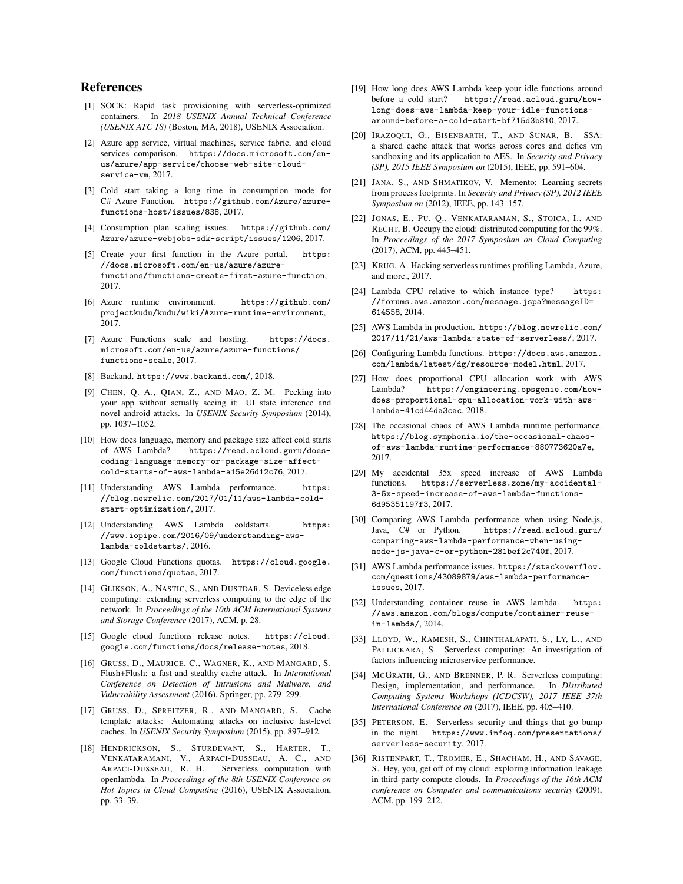# References

- <span id="page-11-28"></span>[1] SOCK: Rapid task provisioning with serverless-optimized containers. In *2018 USENIX Annual Technical Conference (USENIX ATC 18)* (Boston, MA, 2018), USENIX Association.
- <span id="page-11-21"></span>[2] Azure app service, virtual machines, service fabric, and cloud services comparison. [https://docs.microsoft.com/en](https://docs.microsoft.com/en-us/azure/app-service/choose-web-site-cloud-service-vm)[us/azure/app-service/choose-web-site-cloud](https://docs.microsoft.com/en-us/azure/app-service/choose-web-site-cloud-service-vm)[service-vm](https://docs.microsoft.com/en-us/azure/app-service/choose-web-site-cloud-service-vm), 2017.
- <span id="page-11-26"></span>[3] Cold start taking a long time in consumption mode for C# Azure Function. [https://github.com/Azure/azure](https://github.com/Azure/azure-functions-host/issues/838)[functions-host/issues/838](https://github.com/Azure/azure-functions-host/issues/838), 2017.
- <span id="page-11-4"></span>[4] Consumption plan scaling issues. [https://github.com/](https://github.com/Azure/azure-webjobs-sdk-script/issues/1206) [Azure/azure-webjobs-sdk-script/issues/1206](https://github.com/Azure/azure-webjobs-sdk-script/issues/1206), 2017.
- <span id="page-11-19"></span>[5] Create your first function in the Azure portal. [https:](https://docs.microsoft.com/en-us/azure/azure-functions/functions-create-first-azure-function) [//docs.microsoft.com/en-us/azure/azure](https://docs.microsoft.com/en-us/azure/azure-functions/functions-create-first-azure-function)[functions/functions-create-first-azure-function](https://docs.microsoft.com/en-us/azure/azure-functions/functions-create-first-azure-function), 2017.
- <span id="page-11-20"></span>[6] Azure runtime environment. [https://github.com/](https://github.com/projectkudu/kudu/wiki/Azure-runtime-environment) [projectkudu/kudu/wiki/Azure-runtime-environment](https://github.com/projectkudu/kudu/wiki/Azure-runtime-environment), 2017.
- <span id="page-11-24"></span>[7] Azure Functions scale and hosting. [https://docs.](https://docs.microsoft.com/en-us/azure/azure-functions/functions-scale) [microsoft.com/en-us/azure/azure-functions/](https://docs.microsoft.com/en-us/azure/azure-functions/functions-scale) [functions-scale](https://docs.microsoft.com/en-us/azure/azure-functions/functions-scale), 2017.
- <span id="page-11-32"></span>[8] Backand. <https://www.backand.com/>, 2018.
- <span id="page-11-22"></span>[9] CHEN, Q. A., QIAN, Z., AND MAO, Z. M. Peeking into your app without actually seeing it: UI state inference and novel android attacks. In *USENIX Security Symposium* (2014), pp. 1037–1052.
- <span id="page-11-9"></span>[10] How does language, memory and package size affect cold starts of AWS Lambda? [https://read.acloud.guru/does](https://read.acloud.guru/does-coding-language-memory-or-package-size-affect-cold-starts-of-aws-lambda-a15e26d12c76)[coding-language-memory-or-package-size-affect](https://read.acloud.guru/does-coding-language-memory-or-package-size-affect-cold-starts-of-aws-lambda-a15e26d12c76)[cold-starts-of-aws-lambda-a15e26d12c76](https://read.acloud.guru/does-coding-language-memory-or-package-size-affect-cold-starts-of-aws-lambda-a15e26d12c76), 2017.
- [11] Understanding AWS Lambda performance. [https:](https://blog.newrelic.com/2017/01/11/aws-lambda-cold-start-optimization/) [//blog.newrelic.com/2017/01/11/aws-lambda-cold](https://blog.newrelic.com/2017/01/11/aws-lambda-cold-start-optimization/)[start-optimization/](https://blog.newrelic.com/2017/01/11/aws-lambda-cold-start-optimization/), 2017.
- <span id="page-11-10"></span>[12] Understanding AWS Lambda coldstarts. [https:](https://www.iopipe.com/2016/09/understanding-aws-lambda-coldstarts/) [//www.iopipe.com/2016/09/understanding-aws](https://www.iopipe.com/2016/09/understanding-aws-lambda-coldstarts/)[lambda-coldstarts/](https://www.iopipe.com/2016/09/understanding-aws-lambda-coldstarts/), 2016.
- <span id="page-11-25"></span>[13] Google Cloud Functions quotas. [https://cloud.google.](https://cloud.google.com/functions/quotas) [com/functions/quotas](https://cloud.google.com/functions/quotas), 2017.
- <span id="page-11-0"></span>[14] GLIKSON, A., NASTIC, S., AND DUSTDAR, S. Deviceless edge computing: extending serverless computing to the edge of the network. In *Proceedings of the 10th ACM International Systems and Storage Conference* (2017), ACM, p. 28.
- <span id="page-11-27"></span>[15] Google cloud functions release notes. [https://cloud.](https://cloud.google.com/functions/docs/release-notes) [google.com/functions/docs/release-notes](https://cloud.google.com/functions/docs/release-notes), 2018.
- <span id="page-11-29"></span>[16] GRUSS, D., MAURICE, C., WAGNER, K., AND MANGARD, S. Flush+Flush: a fast and stealthy cache attack. In *International Conference on Detection of Intrusions and Malware, and Vulnerability Assessment* (2016), Springer, pp. 279–299.
- <span id="page-11-30"></span>[17] GRUSS, D., SPREITZER, R., AND MANGARD, S. Cache template attacks: Automating attacks on inclusive last-level caches. In *USENIX Security Symposium* (2015), pp. 897–912.
- <span id="page-11-17"></span>[18] HENDRICKSON, S., STURDEVANT, S., HARTER, T., VENKATARAMANI, V., ARPACI-DUSSEAU, A. C., AND Serverless computation with openlambda. In *Proceedings of the 8th USENIX Conference on Hot Topics in Cloud Computing* (2016), USENIX Association, pp. 33–39.
- <span id="page-11-5"></span>[19] How long does AWS Lambda keep your idle functions around before a cold start? [https://read.acloud.guru/how](https://read.acloud.guru/how-long-does-aws-lambda-keep-your-idle-functions-around-before-a-cold-start-bf715d3b810)[long-does-aws-lambda-keep-your-idle-functions](https://read.acloud.guru/how-long-does-aws-lambda-keep-your-idle-functions-around-before-a-cold-start-bf715d3b810)[around-before-a-cold-start-bf715d3b810](https://read.acloud.guru/how-long-does-aws-lambda-keep-your-idle-functions-around-before-a-cold-start-bf715d3b810), 2017.
- <span id="page-11-31"></span>[20] IRAZOQUI, G., EISENBARTH, T., AND SUNAR, B. S\$A: a shared cache attack that works across cores and defies vm sandboxing and its application to AES. In *Security and Privacy (SP), 2015 IEEE Symposium on* (2015), IEEE, pp. 591–604.
- <span id="page-11-23"></span>[21] JANA, S., AND SHMATIKOV, V. Memento: Learning secrets from process footprints. In *Security and Privacy (SP), 2012 IEEE Symposium on* (2012), IEEE, pp. 143–157.
- <span id="page-11-1"></span>[22] JONAS, E., PU, Q., VENKATARAMAN, S., STOICA, I., AND RECHT, B. Occupy the cloud: distributed computing for the 99%. In *Proceedings of the 2017 Symposium on Cloud Computing* (2017), ACM, pp. 445–451.
- <span id="page-11-2"></span>[23] KRUG, A. Hacking serverless runtimes profiling Lambda, Azure, and more., 2017.
- <span id="page-11-6"></span>[24] Lambda CPU relative to which instance type? [https:](https://forums.aws.amazon.com/message.jspa?messageID=614558) [//forums.aws.amazon.com/message.jspa?messageID=](https://forums.aws.amazon.com/message.jspa?messageID=614558) [614558](https://forums.aws.amazon.com/message.jspa?messageID=614558), 2014.
- <span id="page-11-18"></span>[25] AWS Lambda in production. [https://blog.newrelic.com/](https://blog.newrelic.com/2017/11/21/aws-lambda-state-of-serverless/) [2017/11/21/aws-lambda-state-of-serverless/](https://blog.newrelic.com/2017/11/21/aws-lambda-state-of-serverless/), 2017.
- <span id="page-11-33"></span>[26] Configuring Lambda functions. [https://docs.aws.amazon.](https://docs.aws.amazon.com/lambda/latest/dg/resource-model.html) [com/lambda/latest/dg/resource-model.html](https://docs.aws.amazon.com/lambda/latest/dg/resource-model.html), 2017.
- <span id="page-11-7"></span>[27] How does proportional CPU allocation work with AWS Lambda? [https://engineering.opsgenie.com/how](https://engineering.opsgenie.com/how-does-proportional-cpu-allocation-work-with-aws-lambda-41cd44da3cac)[does-proportional-cpu-allocation-work-with-aws](https://engineering.opsgenie.com/how-does-proportional-cpu-allocation-work-with-aws-lambda-41cd44da3cac)[lambda-41cd44da3cac](https://engineering.opsgenie.com/how-does-proportional-cpu-allocation-work-with-aws-lambda-41cd44da3cac), 2018.
- <span id="page-11-8"></span>[28] The occasional chaos of AWS Lambda runtime performance. [https://blog.symphonia.io/the-occasional-chaos](https://blog.symphonia.io/the-occasional-chaos-of-aws-lambda-runtime-performance-880773620a7e)[of-aws-lambda-runtime-performance-880773620a7e](https://blog.symphonia.io/the-occasional-chaos-of-aws-lambda-runtime-performance-880773620a7e), 2017.
- <span id="page-11-11"></span>[29] My accidental 35x speed increase of AWS Lambda functions. [https://serverless.zone/my-accidental-](https://serverless.zone/my-accidental-3-5x-speed-increase-of-aws-lambda-functions-6d95351197f3)[3-5x-speed-increase-of-aws-lambda-functions-](https://serverless.zone/my-accidental-3-5x-speed-increase-of-aws-lambda-functions-6d95351197f3)[6d95351197f3](https://serverless.zone/my-accidental-3-5x-speed-increase-of-aws-lambda-functions-6d95351197f3), 2017.
- [30] Comparing AWS Lambda performance when using Node.js, Java, C# or Python. [https://read.acloud.guru/](https://read.acloud.guru/comparing-aws-lambda-performance-when-using-node-js-java-c-or-python-281bef2c740f) [comparing-aws-lambda-performance-when-using](https://read.acloud.guru/comparing-aws-lambda-performance-when-using-node-js-java-c-or-python-281bef2c740f)[node-js-java-c-or-python-281bef2c740f](https://read.acloud.guru/comparing-aws-lambda-performance-when-using-node-js-java-c-or-python-281bef2c740f), 2017.
- <span id="page-11-12"></span>[31] AWS Lambda performance issues. [https://stackoverflow.](https://stackoverflow.com/questions/43089879/aws-lambda-performance-issues) [com/questions/43089879/aws-lambda-performance](https://stackoverflow.com/questions/43089879/aws-lambda-performance-issues)[issues](https://stackoverflow.com/questions/43089879/aws-lambda-performance-issues), 2017.
- <span id="page-11-16"></span>[32] Understanding container reuse in AWS lambda. [https:](https://aws.amazon.com/blogs/compute/container-reuse-in-lambda/) [//aws.amazon.com/blogs/compute/container-reuse](https://aws.amazon.com/blogs/compute/container-reuse-in-lambda/)[in-lambda/](https://aws.amazon.com/blogs/compute/container-reuse-in-lambda/), 2014.
- <span id="page-11-13"></span>[33] LLOYD, W., RAMESH, S., CHINTHALAPATI, S., LY, L., AND PALLICKARA, S. Serverless computing: An investigation of factors influencing microservice performance.
- <span id="page-11-14"></span>[34] MCGRATH, G., AND BRENNER, P. R. Serverless computing: Design, implementation, and performance. In *Distributed Computing Systems Workshops (ICDCSW), 2017 IEEE 37th International Conference on* (2017), IEEE, pp. 405–410.
- <span id="page-11-3"></span>[35] PETERSON, E. Serverless security and things that go bump in the night. [https://www.infoq.com/presentations/](https://www.infoq.com/presentations/serverless-security) [serverless-security](https://www.infoq.com/presentations/serverless-security), 2017.
- <span id="page-11-15"></span>[36] RISTENPART, T., TROMER, E., SHACHAM, H., AND SAVAGE, S. Hey, you, get off of my cloud: exploring information leakage in third-party compute clouds. In *Proceedings of the 16th ACM conference on Computer and communications security* (2009), ACM, pp. 199–212.